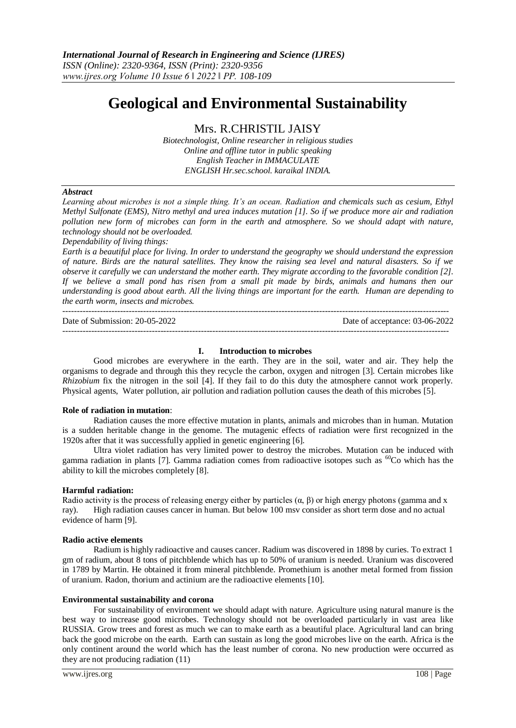# **Geological and Environmental Sustainability**

Mrs. R.CHRISTIL JAISY

*Biotechnologist, Online researcher in religious studies Online and offline tutor in public speaking English Teacher in IMMACULATE ENGLISH Hr.sec.school. karaikal INDIA.*

# *Abstract*

*Learning about microbes is not a simple thing. It's an ocean. Radiation and chemicals such as cesium, Ethyl Methyl Sulfonate (EMS), Nitro methyl and urea induces mutation [1]. So if we produce more air and radiation pollution new form of microbes can form in the earth and atmosphere. So we should adapt with nature, technology should not be overloaded.*

*Dependability of living things:*

*Earth is a beautiful place for living. In order to understand the geography we should understand the expression of nature. Birds are the natural satellites. They know the raising sea level and natural disasters. So if we observe it carefully we can understand the mother earth. They migrate according to the favorable condition [2]. If we believe a small pond has risen from a small pit made by birds, animals and humans then our understanding is good about earth. All the living things are important for the earth. Human are depending to the earth worm, insects and microbes.*

-------------------------------------------------------------------------------------------------------------------------------------- Date of Submission: 20-05-2022 Date of acceptance: 03-06-2022 --------------------------------------------------------------------------------------------------------------------------------------

#### **I. Introduction to microbes**

Good microbes are everywhere in the earth. They are in the soil, water and air. They help the organisms to degrade and through this they recycle the carbon, oxygen and nitrogen [3]. Certain microbes like *Rhizobium* fix the nitrogen in the soil [4]. If they fail to do this duty the atmosphere cannot work properly. Physical agents, Water pollution, air pollution and radiation pollution causes the death of this microbes [5].

#### **Role of radiation in mutation**:

Radiation causes the more effective mutation in plants, animals and microbes than in human. Mutation is a sudden heritable change in the genome. The mutagenic effects of radiation were first recognized in the 1920s after that it was successfully applied in genetic engineering [6].

Ultra violet radiation has very limited power to destroy the microbes. Mutation can be induced with gamma radiation in plants [7]. Gamma radiation comes from radioactive isotopes such as  ${}^{60}$ Co which has the ability to kill the microbes completely [8].

# **Harmful radiation:**

Radio activity is the process of releasing energy either by particles  $(\alpha, \beta)$  or high energy photons (gamma and x ray). High radiation causes cancer in human. But below 100 msv consider as short term dose and no actual evidence of harm [9].

#### **Radio active elements**

Radium is highly radioactive and causes cancer. Radium was discovered in 1898 by curies. To extract 1 gm of radium, about 8 tons of pitchblende which has up to 50% of uranium is needed. Uranium was discovered in 1789 by Martin. He obtained it from mineral pitchblende. Promethium is another metal formed from fission of uranium. Radon, thorium and actinium are the radioactive elements [10].

# **Environmental sustainability and corona**

For sustainability of environment we should adapt with nature. Agriculture using natural manure is the best way to increase good microbes. Technology should not be overloaded particularly in vast area like RUSSIA. Grow trees and forest as much we can to make earth as a beautiful place. Agricultural land can bring back the good microbe on the earth. Earth can sustain as long the good microbes live on the earth. Africa is the only continent around the world which has the least number of corona. No new production were occurred as they are not producing radiation (11)